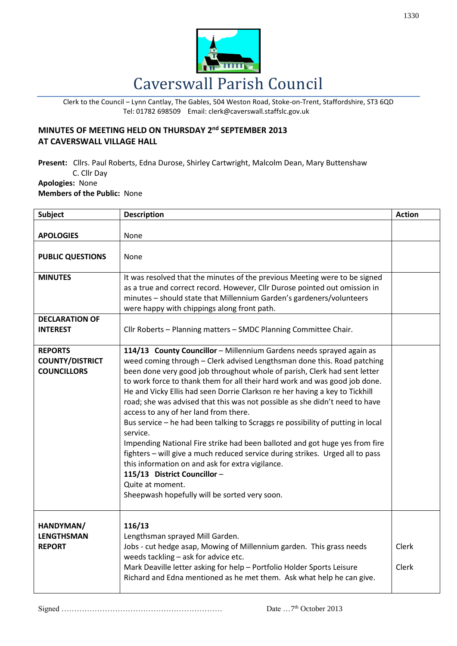

Clerk to the Council – Lynn Cantlay, The Gables, 504 Weston Road, Stoke-on-Trent, Staffordshire, ST3 6QD Tel: 01782 698509 Email: clerk@caverswall.staffslc.gov.uk

## **MINUTES OF MEETING HELD ON THURSDAY 2 nd SEPTEMBER 2013 AT CAVERSWALL VILLAGE HALL**

**Present:** Cllrs. Paul Roberts, Edna Durose, Shirley Cartwright, Malcolm Dean, Mary Buttenshaw C. Cllr Day **Apologies:** None **Members of the Public:** None

| <b>Subject</b>                                                 | <b>Description</b>                                                                                                                                                                                                                                                                                                                                                                                                                                                                                                                                                                                                                                                                                                                                                                                                                                                                                                                       | <b>Action</b>         |
|----------------------------------------------------------------|------------------------------------------------------------------------------------------------------------------------------------------------------------------------------------------------------------------------------------------------------------------------------------------------------------------------------------------------------------------------------------------------------------------------------------------------------------------------------------------------------------------------------------------------------------------------------------------------------------------------------------------------------------------------------------------------------------------------------------------------------------------------------------------------------------------------------------------------------------------------------------------------------------------------------------------|-----------------------|
| <b>APOLOGIES</b>                                               | None                                                                                                                                                                                                                                                                                                                                                                                                                                                                                                                                                                                                                                                                                                                                                                                                                                                                                                                                     |                       |
| <b>PUBLIC QUESTIONS</b>                                        | None                                                                                                                                                                                                                                                                                                                                                                                                                                                                                                                                                                                                                                                                                                                                                                                                                                                                                                                                     |                       |
| <b>MINUTES</b>                                                 | It was resolved that the minutes of the previous Meeting were to be signed<br>as a true and correct record. However, Cllr Durose pointed out omission in<br>minutes - should state that Millennium Garden's gardeners/volunteers<br>were happy with chippings along front path.                                                                                                                                                                                                                                                                                                                                                                                                                                                                                                                                                                                                                                                          |                       |
| <b>DECLARATION OF</b><br><b>INTEREST</b>                       | Cllr Roberts - Planning matters - SMDC Planning Committee Chair.                                                                                                                                                                                                                                                                                                                                                                                                                                                                                                                                                                                                                                                                                                                                                                                                                                                                         |                       |
| <b>REPORTS</b><br><b>COUNTY/DISTRICT</b><br><b>COUNCILLORS</b> | 114/13 County Councillor - Millennium Gardens needs sprayed again as<br>weed coming through - Clerk advised Lengthsman done this. Road patching<br>been done very good job throughout whole of parish, Clerk had sent letter<br>to work force to thank them for all their hard work and was good job done.<br>He and Vicky Ellis had seen Dorrie Clarkson re her having a key to Tickhill<br>road; she was advised that this was not possible as she didn't need to have<br>access to any of her land from there.<br>Bus service - he had been talking to Scraggs re possibility of putting in local<br>service.<br>Impending National Fire strike had been balloted and got huge yes from fire<br>fighters - will give a much reduced service during strikes. Urged all to pass<br>this information on and ask for extra vigilance.<br>115/13 District Councillor-<br>Quite at moment.<br>Sheepwash hopefully will be sorted very soon. |                       |
| HANDYMAN/<br><b>LENGTHSMAN</b><br><b>REPORT</b>                | 116/13<br>Lengthsman sprayed Mill Garden.<br>Jobs - cut hedge asap, Mowing of Millennium garden. This grass needs<br>weeds tackling - ask for advice etc.<br>Mark Deaville letter asking for help - Portfolio Holder Sports Leisure<br>Richard and Edna mentioned as he met them. Ask what help he can give.                                                                                                                                                                                                                                                                                                                                                                                                                                                                                                                                                                                                                             | <b>Clerk</b><br>Clerk |

Signed ……………………………………………………… Date …7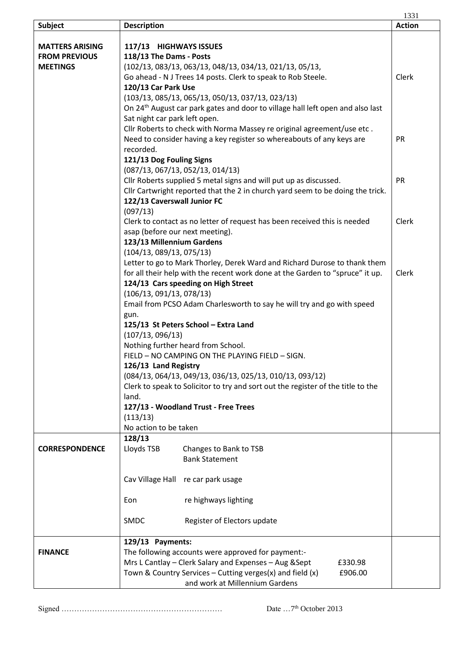|                        |                                                                                  |                                                                                            | 1331          |  |
|------------------------|----------------------------------------------------------------------------------|--------------------------------------------------------------------------------------------|---------------|--|
| Subject                | <b>Description</b>                                                               |                                                                                            | <b>Action</b> |  |
|                        |                                                                                  |                                                                                            |               |  |
| <b>MATTERS ARISING</b> | 117/13 HIGHWAYS ISSUES                                                           |                                                                                            |               |  |
| <b>FROM PREVIOUS</b>   | 118/13 The Dams - Posts                                                          |                                                                                            |               |  |
| <b>MEETINGS</b>        |                                                                                  | (102/13, 083/13, 063/13, 048/13, 034/13, 021/13, 05/13,                                    |               |  |
|                        |                                                                                  | Go ahead - N J Trees 14 posts. Clerk to speak to Rob Steele.                               | Clerk         |  |
|                        | 120/13 Car Park Use                                                              |                                                                                            |               |  |
|                        |                                                                                  | $(103/13, 085/13, 065/13, 050/13, 037/13, 023/13)$                                         |               |  |
|                        |                                                                                  | On 24 <sup>th</sup> August car park gates and door to village hall left open and also last |               |  |
|                        | Sat night car park left open.                                                    |                                                                                            |               |  |
|                        |                                                                                  | Cllr Roberts to check with Norma Massey re original agreement/use etc.                     |               |  |
|                        |                                                                                  | Need to consider having a key register so whereabouts of any keys are                      | <b>PR</b>     |  |
|                        | recorded.                                                                        |                                                                                            |               |  |
|                        | 121/13 Dog Fouling Signs                                                         |                                                                                            |               |  |
|                        | (087/13, 067/13, 052/13, 014/13)                                                 |                                                                                            |               |  |
|                        | Cllr Roberts supplied 5 metal signs and will put up as discussed.                |                                                                                            |               |  |
|                        | Cllr Cartwright reported that the 2 in church yard seem to be doing the trick.   |                                                                                            |               |  |
|                        | 122/13 Caverswall Junior FC                                                      |                                                                                            |               |  |
|                        | (097/13)                                                                         |                                                                                            |               |  |
|                        |                                                                                  | Clerk to contact as no letter of request has been received this is needed                  | Clerk         |  |
|                        | asap (before our next meeting).                                                  |                                                                                            |               |  |
|                        | 123/13 Millennium Gardens                                                        |                                                                                            |               |  |
|                        | (104/13, 089/13, 075/13)                                                         |                                                                                            |               |  |
|                        |                                                                                  | Letter to go to Mark Thorley, Derek Ward and Richard Durose to thank them                  |               |  |
|                        |                                                                                  | for all their help with the recent work done at the Garden to "spruce" it up.              | Clerk         |  |
|                        |                                                                                  | 124/13 Cars speeding on High Street                                                        |               |  |
|                        | (106/13, 091/13, 078/13)                                                         |                                                                                            |               |  |
|                        | Email from PCSO Adam Charlesworth to say he will try and go with speed           |                                                                                            |               |  |
|                        | gun.                                                                             |                                                                                            |               |  |
|                        | 125/13 St Peters School - Extra Land                                             |                                                                                            |               |  |
|                        | (107/13, 096/13)                                                                 |                                                                                            |               |  |
|                        | Nothing further heard from School.                                               |                                                                                            |               |  |
|                        | FIELD - NO CAMPING ON THE PLAYING FIELD - SIGN.                                  |                                                                                            |               |  |
|                        | 126/13 Land Registry                                                             |                                                                                            |               |  |
|                        | (084/13, 064/13, 049/13, 036/13, 025/13, 010/13, 093/12)                         |                                                                                            |               |  |
|                        | Clerk to speak to Solicitor to try and sort out the register of the title to the |                                                                                            |               |  |
|                        | land.                                                                            |                                                                                            |               |  |
|                        | 127/13 - Woodland Trust - Free Trees                                             |                                                                                            |               |  |
|                        | (113/13)                                                                         |                                                                                            |               |  |
|                        | No action to be taken                                                            |                                                                                            |               |  |
|                        | 128/13                                                                           |                                                                                            |               |  |
| <b>CORRESPONDENCE</b>  | Lloyds TSB                                                                       | Changes to Bank to TSB                                                                     |               |  |
|                        |                                                                                  | <b>Bank Statement</b>                                                                      |               |  |
|                        |                                                                                  |                                                                                            |               |  |
|                        | Cav Village Hall re car park usage                                               |                                                                                            |               |  |
|                        |                                                                                  |                                                                                            |               |  |
|                        | Eon                                                                              | re highways lighting                                                                       |               |  |
|                        |                                                                                  |                                                                                            |               |  |
|                        | <b>SMDC</b>                                                                      | Register of Electors update                                                                |               |  |
|                        |                                                                                  |                                                                                            |               |  |
|                        | 129/13 Payments:                                                                 |                                                                                            |               |  |
| <b>FINANCE</b>         |                                                                                  | The following accounts were approved for payment:-                                         |               |  |
|                        | Mrs L Cantlay - Clerk Salary and Expenses - Aug & Sept<br>£330.98                |                                                                                            |               |  |
|                        | Town & Country Services - Cutting verges(x) and field (x)<br>£906.00             |                                                                                            |               |  |
|                        |                                                                                  | and work at Millennium Gardens                                                             |               |  |

Signed ……………………………………………………… Date …7